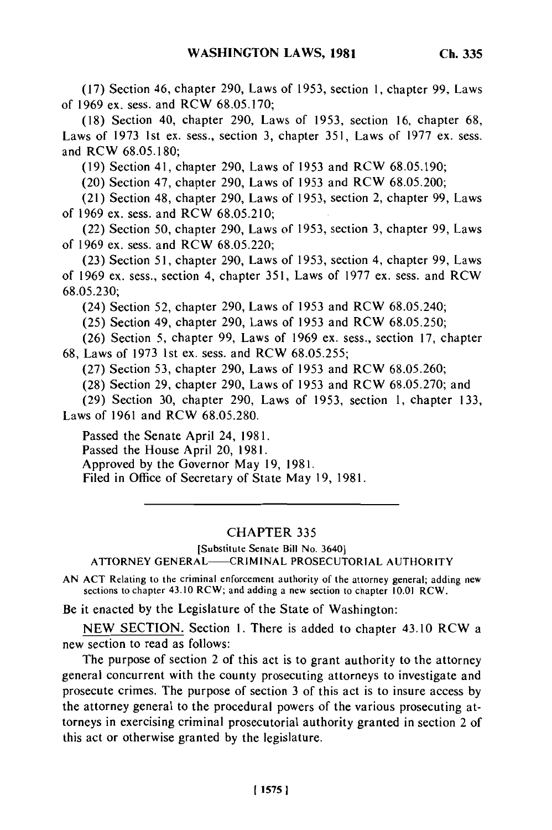(17) Section 46, chapter 290, Laws of 1953, section 1, chapter 99, Laws of 1969 ex. sess. and RCW 68.05.170;

(18) Section 40, chapter 290, Laws of 1953, section 16, chapter 68, Laws of 1973 1st ex. sess., section 3, chapter 351, Laws of 1977 ex. sess. and RCW 68.05.180;

(19) Section 41, chapter 290, Laws of 1953 and RCW 68.05.190;

(20) Section 47, chapter 290, Laws of 1953 and RCW 68.05.200;

(21) Section 48, chapter 290, Laws of 1953, section 2, chapter 99, Laws of 1969 ex. sess. and RCW 68.05.210;

(22) Section 50, chapter 290, Laws of 1953, section 3, chapter 99, Laws of 1969 ex. sess. and RCW 68.05.220;

(23) Section 51, chapter 290, Laws of 1953, section 4, chapter 99, Laws of 1969 ex. sess., section 4, chapter 351, Laws of 1977 ex. sess. and RCW 68.05.230;

(24) Section 52, chapter 290, Laws of 1953 and RCW 68.05.240;

(25) Section 49, chapter 290, Laws of 1953 and RCW 68.05.250;

(26) Section 5, chapter 99, Laws of 1969 ex. sess., section 17, chapter 68, Laws of 1973 1st ex. sess. and RCW 68.05.255;

(27) Section 53, chapter 290, Laws of 1953 and RCW 68.05.260;

(28) Section 29, chapter 290, Laws of 1953 and RCW 68.05.270; and

(29) Section 30, chapter 290, Laws of 1953, section 1, chapter 133, Laws of 1961 and RCW 68.05.280.

Passed the Senate April 24, 1981. Passed the House April 20, 1981. Approved by the Governor May 19, 1981. Filed in Office of Secretary of State May 19, 1981.

## CHAPTER 335

## [Substitute Senate Bill No. 3640] ATTORNEY GENERAL-CRIMINAL PROSECUTORIAL AUTHORITY

AN ACT Relating to the criminal enforcement authority of the attorney general; adding new general; adding new general; adding new general; adding new general; adding new general; adding new general; adding new general; ad sections to chapter 43.10 RCW; and adding a new section to chapter **10.01** RCW.

Be it enacted by the Legislature of the State of Washington:

NEW SECTION. Section 1. There is added to chapter 43.10 RCW a new section to read as follows:

The purpose of section 2 of this act is to grant authority to the attorney general concurrent with the county prosecuting attorneys to investigate and prosecute crimes. The purpose of section 3 of this act is to insure access by the attorney general to the procedural powers of the various prosecuting attorneys in exercising criminal prosecutorial authority granted in section 2 of this act or otherwise granted by the legislature.